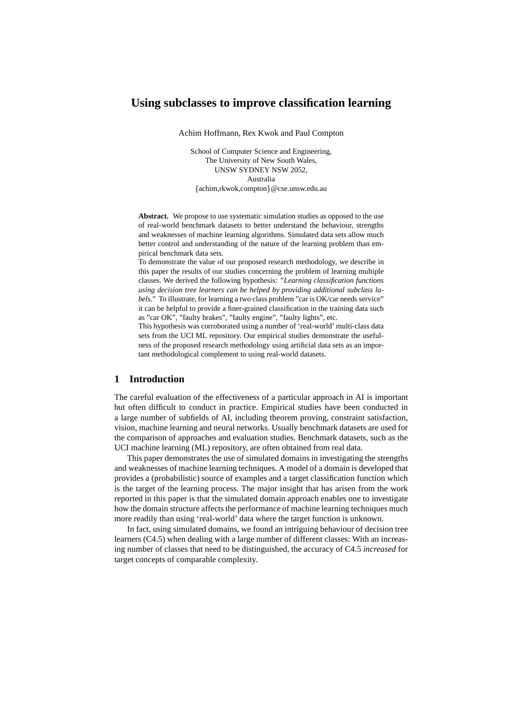# **Using subclasses to improve classification learning**

Achim Hoffmann, Rex Kwok and Paul Compton

School of Computer Science and Engineering, The University of New South Wales, UNSW SYDNEY NSW 2052, Australia {achim,rkwok,compton}@cse.unsw.edu.au

Abstract. We propose to use systematic simulation studies as opposed to the use of real-world benchmark datasets to better understand the behaviour, strengths and weaknesses of machine learning algorithms. Simulated data sets allow much better control and understanding of the nature of the learning problem than empirical benchmark data sets.

To demonstrate the value of our proposed research methodology, we describe in this paper the results of our studies concerning the problem of learning multiple classes. We derived the following hypothesis: *"Learning classification functions using decision tree learners can be helped by providing additional subclass labels.*" To illustrate, for learning a two class problem "car is OK/car needs service" it can be helpful to provide a finer-grained classification in the training data such as "car OK", "faulty brakes", "faulty engine", "faulty lights", etc.

This hypothesis was corroborated using a number of 'real-world' multi-class data sets from the UCI ML repository. Our empirical studies demonstrate the usefulness of the proposed research methodology using artificial data sets as an important methodological complement to using real-world datasets.

#### **1 Introduction**

The careful evaluation of the effectiveness of a particular approach in AI is important but often difficult to conduct in practice. Empirical studies have been conducted in a large number of subfields of AI, including theorem proving, constraint satisfaction, vision, machine learning and neural networks. Usually benchmark datasets are used for the comparison of approaches and evaluation studies. Benchmark datasets, such as the UCI machine learning (ML) repository, are often obtained from real data.

This paper demonstrates the use of simulated domains in investigating the strengths and weaknesses of machine learning techniques. A model of a domain is developed that provides a (probabilistic) source of examples and a target classification function which is the target of the learning process. The major insight that has arisen from the work reported in this paper is that the simulated domain approach enables one to investigate how the domain structure affects the performance of machine learning techniques much more readily than using 'real-world' data where the target function is unknown.

In fact, using simulated domains, we found an intriguing behaviour of decision tree learners (C4.5) when dealing with a large number of different classes: With an increasing number of classes that need to be distinguished, the accuracy of C4.5 *increased* for target concepts of comparable complexity.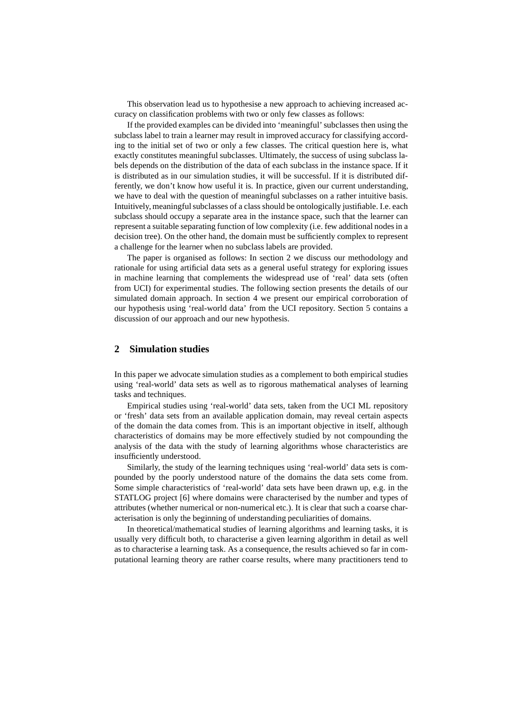This observation lead us to hypothesise a new approach to achieving increased accuracy on classification problems with two or only few classes as follows:

If the provided examples can be divided into 'meaningful' subclasses then using the subclass label to train a learner may result in improved accuracy for classifying according to the initial set of two or only a few classes. The critical question here is, what exactly constitutes meaningful subclasses. Ultimately, the success of using subclass labels depends on the distribution of the data of each subclass in the instance space. If it is distributed as in our simulation studies, it will be successful. If it is distributed differently, we don't know how useful it is. In practice, given our current understanding, we have to deal with the question of meaningful subclasses on a rather intuitive basis. Intuitively, meaningful subclasses of a class should be ontologically justifiable. I.e. each subclass should occupy a separate area in the instance space, such that the learner can represent a suitable separating function of low complexity (i.e. few additional nodes in a decision tree). On the other hand, the domain must be sufficiently complex to represent a challenge for the learner when no subclass labels are provided.

The paper is organised as follows: In section 2 we discuss our methodology and rationale for using artificial data sets as a general useful strategy for exploring issues in machine learning that complements the widespread use of 'real' data sets (often from UCI) for experimental studies. The following section presents the details of our simulated domain approach. In section 4 we present our empirical corroboration of our hypothesis using 'real-world data' from the UCI repository. Section 5 contains a discussion of our approach and our new hypothesis.

### **2 Simulation studies**

In this paper we advocate simulation studies as a complement to both empirical studies using 'real-world' data sets as well as to rigorous mathematical analyses of learning tasks and techniques.

Empirical studies using 'real-world' data sets, taken from the UCI ML repository or 'fresh' data sets from an available application domain, may reveal certain aspects of the domain the data comes from. This is an important objective in itself, although characteristics of domains may be more effectively studied by not compounding the analysis of the data with the study of learning algorithms whose characteristics are insufficiently understood.

Similarly, the study of the learning techniques using 'real-world' data sets is compounded by the poorly understood nature of the domains the data sets come from. Some simple characteristics of 'real-world' data sets have been drawn up, e.g. in the STATLOG project [6] where domains were characterised by the number and types of attributes (whether numerical or non-numerical etc.). It is clear that such a coarse characterisation is only the beginning of understanding peculiarities of domains.

In theoretical/mathematical studies of learning algorithms and learning tasks, it is usually very difficult both, to characterise a given learning algorithm in detail as well as to characterise a learning task. As a consequence, the results achieved so far in computational learning theory are rather coarse results, where many practitioners tend to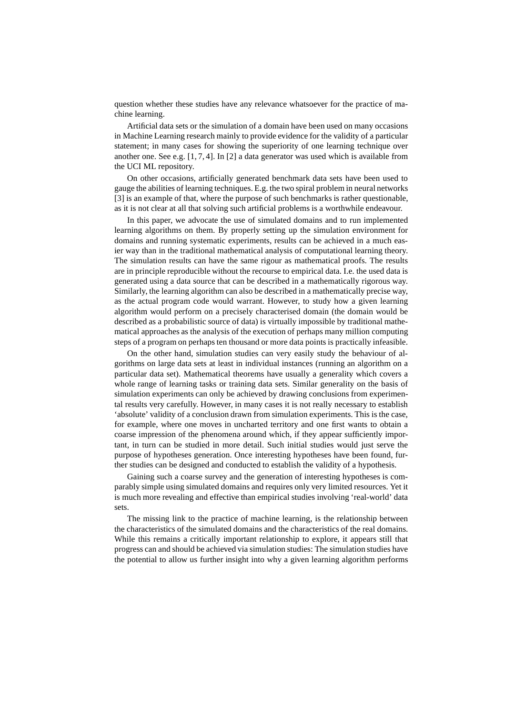question whether these studies have any relevance whatsoever for the practice of machine learning.

Artificial data sets or the simulation of a domain have been used on many occasions in Machine Learning research mainly to provide evidence for the validity of a particular statement; in many cases for showing the superiority of one learning technique over another one. See e.g.  $[1, 7, 4]$ . In  $[2]$  a data generator was used which is available from the UCI ML repository.

On other occasions, artificially generated benchmark data sets have been used to gauge the abilities of learning techniques. E.g. the two spiral problem in neural networks [3] is an example of that, where the purpose of such benchmarks is rather questionable, as it is not clear at all that solving such artificial problems is a worthwhile endeavour.

In this paper, we advocate the use of simulated domains and to run implemented learning algorithms on them. By properly setting up the simulation environment for domains and running systematic experiments, results can be achieved in a much easier way than in the traditional mathematical analysis of computational learning theory. The simulation results can have the same rigour as mathematical proofs. The results are in principle reproducible without the recourse to empirical data. I.e. the used data is generated using a data source that can be described in a mathematically rigorous way. Similarly, the learning algorithm can also be described in a mathematically precise way, as the actual program code would warrant. However, to study how a given learning algorithm would perform on a precisely characterised domain (the domain would be described as a probabilistic source of data) is virtually impossible by traditional mathematical approaches as the analysis of the execution of perhaps many million computing steps of a program on perhaps ten thousand or more data points is practically infeasible.

On the other hand, simulation studies can very easily study the behaviour of algorithms on large data sets at least in individual instances (running an algorithm on a particular data set). Mathematical theorems have usually a generality which covers a whole range of learning tasks or training data sets. Similar generality on the basis of simulation experiments can only be achieved by drawing conclusions from experimental results very carefully. However, in many cases it is not really necessary to establish 'absolute' validity of a conclusion drawn from simulation experiments. This is the case, for example, where one moves in uncharted territory and one first wants to obtain a coarse impression of the phenomena around which, if they appear sufficiently important, in turn can be studied in more detail. Such initial studies would just serve the purpose of hypotheses generation. Once interesting hypotheses have been found, further studies can be designed and conducted to establish the validity of a hypothesis.

Gaining such a coarse survey and the generation of interesting hypotheses is comparably simple using simulated domains and requires only very limited resources. Yet it is much more revealing and effective than empirical studies involving 'real-world' data sets.

The missing link to the practice of machine learning, is the relationship between the characteristics of the simulated domains and the characteristics of the real domains. While this remains a critically important relationship to explore, it appears still that progress can and should be achieved via simulation studies: The simulation studies have the potential to allow us further insight into why a given learning algorithm performs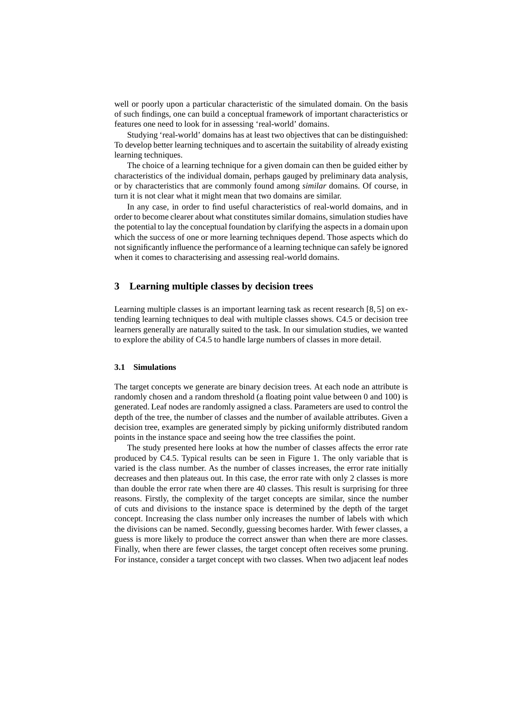well or poorly upon a particular characteristic of the simulated domain. On the basis of such findings, one can build a conceptual framework of important characteristics or features one need to look for in assessing 'real-world' domains.

Studying 'real-world' domains has at least two objectives that can be distinguished: To develop better learning techniques and to ascertain the suitability of already existing learning techniques.

The choice of a learning technique for a given domain can then be guided either by characteristics of the individual domain, perhaps gauged by preliminary data analysis, or by characteristics that are commonly found among *similar* domains. Of course, in turn it is not clear what it might mean that two domains are similar.

In any case, in order to find useful characteristics of real-world domains, and in order to become clearer about what constitutes similar domains, simulation studies have the potential to lay the conceptual foundation by clarifying the aspects in a domain upon which the success of one or more learning techniques depend. Those aspects which do not significantly influence the performance of a learning technique can safely be ignored when it comes to characterising and assessing real-world domains.

# **3 Learning multiple classes by decision trees**

Learning multiple classes is an important learning task as recent research [8, 5] on extending learning techniques to deal with multiple classes shows. C4.5 or decision tree learners generally are naturally suited to the task. In our simulation studies, we wanted to explore the ability of C4.5 to handle large numbers of classes in more detail.

#### **3.1 Simulations**

The target concepts we generate are binary decision trees. At each node an attribute is randomly chosen and a random threshold (a floating point value between 0 and 100) is generated. Leaf nodes are randomly assigned a class. Parameters are used to control the depth of the tree, the number of classes and the number of available attributes. Given a decision tree, examples are generated simply by picking uniformly distributed random points in the instance space and seeing how the tree classifies the point.

The study presented here looks at how the number of classes affects the error rate produced by C4.5. Typical results can be seen in Figure 1. The only variable that is varied is the class number. As the number of classes increases, the error rate initially decreases and then plateaus out. In this case, the error rate with only 2 classes is more than double the error rate when there are 40 classes. This result is surprising for three reasons. Firstly, the complexity of the target concepts are similar, since the number of cuts and divisions to the instance space is determined by the depth of the target concept. Increasing the class number only increases the number of labels with which the divisions can be named. Secondly, guessing becomes harder. With fewer classes, a guess is more likely to produce the correct answer than when there are more classes. Finally, when there are fewer classes, the target concept often receives some pruning. For instance, consider a target concept with two classes. When two adjacent leaf nodes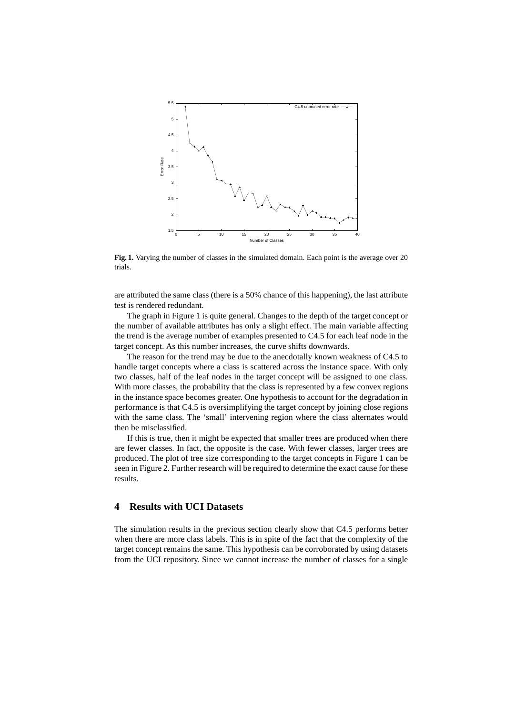

**Fig. 1.** Varying the number of classes in the simulated domain. Each point is the average over 20 trials.

are attributed the same class (there is a 50% chance of this happening), the last attribute test is rendered redundant.

The graph in Figure 1 is quite general. Changes to the depth of the target concept or the number of available attributes has only a slight effect. The main variable affecting the trend is the average number of examples presented to C4.5 for each leaf node in the target concept. As this number increases, the curve shifts downwards.

The reason for the trend may be due to the anecdotally known weakness of C4.5 to handle target concepts where a class is scattered across the instance space. With only two classes, half of the leaf nodes in the target concept will be assigned to one class. With more classes, the probability that the class is represented by a few convex regions in the instance space becomes greater. One hypothesis to account for the degradation in performance is that C4.5 is oversimplifying the target concept by joining close regions with the same class. The 'small' intervening region where the class alternates would then be misclassified.

If this is true, then it might be expected that smaller trees are produced when there are fewer classes. In fact, the opposite is the case. With fewer classes, larger trees are produced. The plot of tree size corresponding to the target concepts in Figure 1 can be seen in Figure 2. Further research will be required to determine the exact cause for these results.

### **4 Results with UCI Datasets**

The simulation results in the previous section clearly show that C4.5 performs better when there are more class labels. This is in spite of the fact that the complexity of the target concept remains the same. This hypothesis can be corroborated by using datasets from the UCI repository. Since we cannot increase the number of classes for a single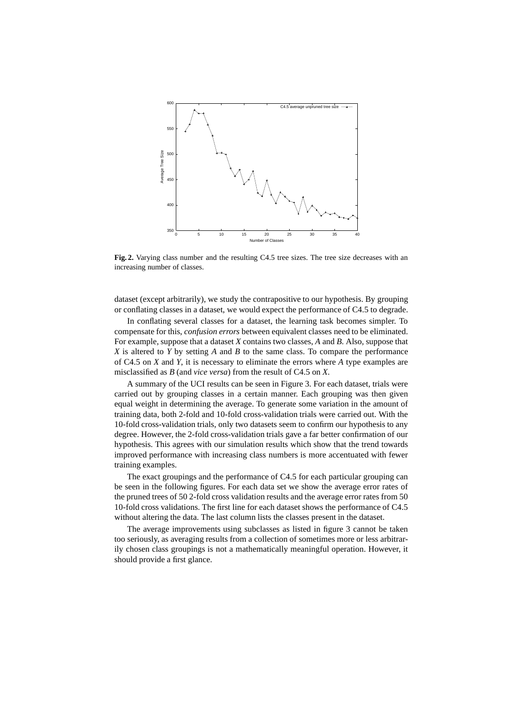

**Fig. 2.** Varying class number and the resulting C4.5 tree sizes. The tree size decreases with an increasing number of classes.

dataset (except arbitrarily), we study the contrapositive to our hypothesis. By grouping or conflating classes in a dataset, we would expect the performance of C4.5 to degrade.

In conflating several classes for a dataset, the learning task becomes simpler. To compensate for this, *confusion errors* between equivalent classes need to be eliminated. For example, suppose that a dataset *X* contains two classes, *A* and *B*. Also, suppose that *X* is altered to *Y* by setting *A* and *B* to the same class. To compare the performance of C4.5 on *X* and *Y*, it is necessary to eliminate the errors where *A* type examples are misclassified as *B* (and *vice versa*) from the result of C4.5 on *X*.

A summary of the UCI results can be seen in Figure 3. For each dataset, trials were carried out by grouping classes in a certain manner. Each grouping was then given equal weight in determining the average. To generate some variation in the amount of training data, both 2-fold and 10-fold cross-validation trials were carried out. With the 10-fold cross-validation trials, only two datasets seem to confirm our hypothesis to any degree. However, the 2-fold cross-validation trials gave a far better confirmation of our hypothesis. This agrees with our simulation results which show that the trend towards improved performance with increasing class numbers is more accentuated with fewer training examples.

The exact groupings and the performance of C4.5 for each particular grouping can be seen in the following figures. For each data set we show the average error rates of the pruned trees of 50 2-fold cross validation results and the average error rates from 50 10-fold cross validations. The first line for each dataset shows the performance of C4.5 without altering the data. The last column lists the classes present in the dataset.

The average improvements using subclasses as listed in figure 3 cannot be taken too seriously, as averaging results from a collection of sometimes more or less arbitrarily chosen class groupings is not a mathematically meaningful operation. However, it should provide a first glance.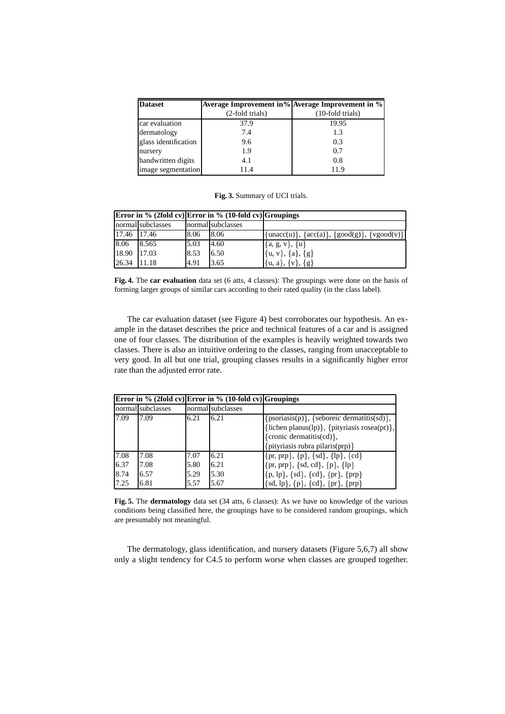| <b>Dataset</b>       |                 | Average Improvement in% Average Improvement in % |  |  |
|----------------------|-----------------|--------------------------------------------------|--|--|
|                      | (2-fold trials) | $(10$ -fold trials)                              |  |  |
| car evaluation       | 37.9            | 19.95                                            |  |  |
| dermatology          | 7.4             | 1.3                                              |  |  |
| glass identification | 9.6             | 0.3                                              |  |  |
| nursery              | 1.9             | 0.7                                              |  |  |
| handwritten digits   | 4.1             | 0.8                                              |  |  |
| image segmentation   | 11.4            | 11.9                                             |  |  |

**Fig. 3.** Summary of UCI trials.

|             |                   | Error in % (2fold cv) Error in % (10-fold cv) Groupings |                   |                                                                           |
|-------------|-------------------|---------------------------------------------------------|-------------------|---------------------------------------------------------------------------|
|             | normal subclasses |                                                         | normal subclasses |                                                                           |
| 17.46 17.46 |                   | 8.06                                                    | 8.06              | $\{\text{unacc}(u)\}\$ , $\{acc(a)\}\$ , $\{good(g)\}\$ , $\{vgood(v)\}\$ |
| 8.06        | 8.565             | 5.03                                                    | 4.60              | $\{a, g, v\}, \{u\}$                                                      |
| 18.90       | 17.03             | 8.53                                                    | 6.50              | $\{\{u, v\}, \{a\}, \{g\}\}$                                              |
| 26.34       | 11.18             | 4.91                                                    | 3.65              | $\{\{u, a\}, \{v\}, \{g\}\}$                                              |

**Fig. 4.** The **car evaluation** data set (6 atts, 4 classes): The groupings were done on the basis of forming larger groups of similar cars according to their rated quality (in the class label).

The car evaluation dataset (see Figure 4) best corroborates our hypothesis. An example in the dataset describes the price and technical features of a car and is assigned one of four classes. The distribution of the examples is heavily weighted towards two classes. There is also an intuitive ordering to the classes, ranging from unacceptable to very good. In all but one trial, grouping classes results in a significantly higher error rate than the adjusted error rate.

|      |                   | Error in % (2fold cv) Error in % (10-fold cv) Groupings |                   |                                                                                                                                                                      |
|------|-------------------|---------------------------------------------------------|-------------------|----------------------------------------------------------------------------------------------------------------------------------------------------------------------|
|      | normal subclasses |                                                         | normal subclasses |                                                                                                                                                                      |
| 7.09 | 7.09              | 6.21                                                    | 6.21              | $\{poriasis(p)\}, \{seboreic\, dematitis(sd)\},\$<br>{lichen planus(lp)}, {pityriasis rosea(pr)},<br>{cronic dermatitis(cd)},<br>{ $pityriasis rubra pilaris(prp)$ } |
| 7.08 | 7.08              | 7.07                                                    | 6.21              | $\{pr, prp\}, \{p\}, \{sd\}, \{lp\}, \{cd\}$                                                                                                                         |
| 6.37 | 7.08              | 5.80                                                    | 6.21              | ${pr, prp}, {sd, cd}, {p}, {lp}$                                                                                                                                     |
| 8.74 | 6.57              | 5.29                                                    | 5.30              | ${p, lp}, {sd}, {cd}, {pr}, {prp}$                                                                                                                                   |
| 7.25 | 6.81              | 5.57                                                    | 5.67              | ${sd, lp}, {p}, {cd}, {pr}, {prp}$                                                                                                                                   |

**Fig. 5.** The **dermatology** data set (34 atts, 6 classes): As we have no knowledge of the various conditions being classified here, the groupings have to be considered random groupings, which are presumably not meaningful.

The dermatology, glass identification, and nursery datasets (Figure 5,6,7) all show only a slight tendency for C4.5 to perform worse when classes are grouped together.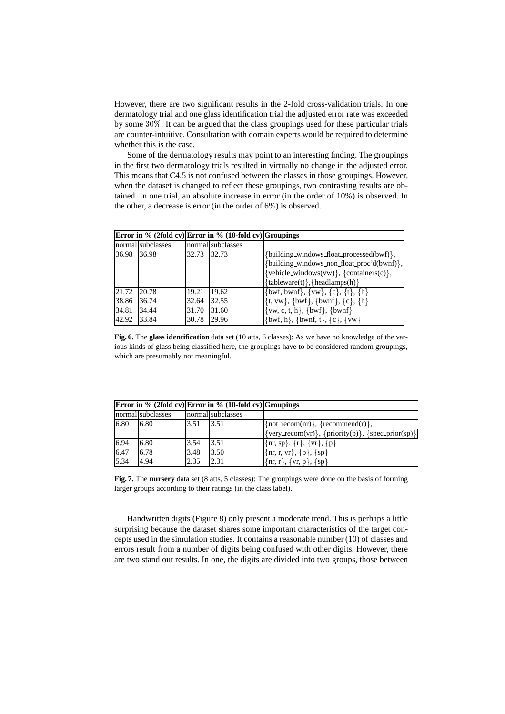However, there are two significant results in the 2-fold cross-validation trials. In one dermatology trial and one glass identification trial the adjusted error rate was exceeded by some 30%. It can be argued that the class groupings used for these particular trials are counter-intuitive. Consultation with domain experts would be required to determine whether this is the case.

Some of the dermatology results may point to an interesting finding. The groupings in the first two dermatology trials resulted in virtually no change in the adjusted error. This means that C4.5 is not confused between the classes in those groupings. However, when the dataset is changed to reflect these groupings, two contrasting results are obtained. In one trial, an absolute increase in error (in the order of 10%) is observed. In the other, a decrease is error (in the order of 6%) is observed.

| Error in % (2fold cv) Error in % (10-fold cv) Groupings |                   |       |                   |                                                      |
|---------------------------------------------------------|-------------------|-------|-------------------|------------------------------------------------------|
|                                                         | normal subclasses |       | normal subclasses |                                                      |
| 36.98                                                   | 36.98             | 32.73 | 32.73             | {building_windows_float_processed(bwf) $\}$ ,        |
|                                                         |                   |       |                   | {building_windows_non_float_proc'd(bwnf)},           |
|                                                         |                   |       |                   | {vehicle_windows(vw)}, {containers(c)},              |
|                                                         |                   |       |                   | ${\{\text{tableware(t)}\}, \{\text{headlamps(h)}\}}$ |
| 21.72                                                   | 20.78             | 19.21 | 19.62             | $\{bwf, bwnf\}, \{vw\}, \{c\}, \{t\}, \{h\}$         |
| 38.86                                                   | 36.74             | 32.64 | 32.55             | $\{t, vw\}, \{bwf\}, \{bwnf\}, \{c\}, \{h\}$         |
| 34.81                                                   | 34.44             | 31.70 | 31.60             | $\{vw, c, t, h\}, \{bwf\}, \{bwnf\}$                 |
| 42.92                                                   | 33.84             | 30.78 | 29.96             | $\{bwf, h\}, \{bwr, t\}, \{c\}, \{vw\}$              |

**Fig. 6.** The **glass identification** data set (10 atts, 6 classes): As we have no knowledge of the various kinds of glass being classified here, the groupings have to be considered random groupings, which are presumably not meaningful.

|      |                   |      | Error in % (2fold cv) Error in % (10-fold cv) Groupings |                                                       |
|------|-------------------|------|---------------------------------------------------------|-------------------------------------------------------|
|      | normal subclasses |      | normal subclasses                                       |                                                       |
| 6.80 | 6.80              | 3.51 | 3.51                                                    | $\{\text{not\_recom(nr)}\}, \{\text{recommend(r)}\},$ |
|      |                   |      |                                                         | {very_recom(vr)}, {priority(p)}, {spec_prior(sp)}     |
| 6.94 | 6.80              | 3.54 | 3.51                                                    | $\{nr, sp\}, \{r\}, \{vr\}, \{p\}$                    |
| 6.47 | 6.78              | 3.48 | 3.50                                                    | ${nr, r, vr}, {p}, {sp}$                              |
| 5.34 | 4.94              | 2.35 | 2.31                                                    | $\{nr, r\}, \{vr, p\}, \{sp\}$                        |

**Fig. 7.** The **nursery** data set (8 atts, 5 classes): The groupings were done on the basis of forming larger groups according to their ratings (in the class label).

Handwritten digits (Figure 8) only present a moderate trend. This is perhaps a little surprising because the dataset shares some important characteristics of the target concepts used in the simulation studies. It contains a reasonable number (10) of classes and errors result from a number of digits being confused with other digits. However, there are two stand out results. In one, the digits are divided into two groups, those between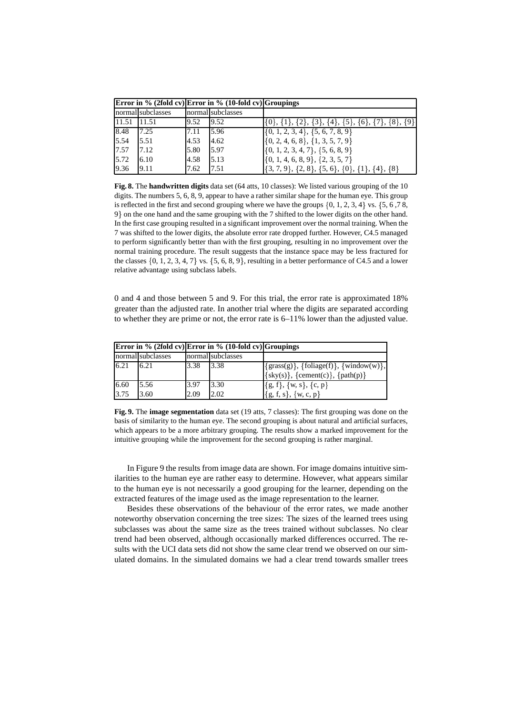|       |                   |       | Error in % (2fold cv) Error in % (10-fold cv) Groupings |                                                                        |
|-------|-------------------|-------|---------------------------------------------------------|------------------------------------------------------------------------|
|       | normal subclasses |       | normal subclasses                                       |                                                                        |
| 11.51 | 11.51             | 9.52  | 9.52                                                    | $\{0\}, \{1\}, \{2\}, \{3\}, \{4\}, \{5\}, \{6\}, \{7\}, \{8\}, \{9\}$ |
| 8.48  | 17.25             | 17.11 | 5.96                                                    | $\{0, 1, 2, 3, 4\}, \{5, 6, 7, 8, 9\}$                                 |
| 5.54  | 5.51              | 4.53  | 4.62                                                    | $\{0, 2, 4, 6, 8\}, \{1, 3, 5, 7, 9\}$                                 |
| 7.57  | 7.12              | 5.80  | 5.97                                                    | $\{0, 1, 2, 3, 4, 7\}, \{5, 6, 8, 9\}$                                 |
| 5.72  | 6.10              | 4.58  | 5.13                                                    | $\{0, 1, 4, 6, 8, 9\}, \{2, 3, 5, 7\}$                                 |
| 9.36  | 9.11              | 7.62  | 7.51                                                    | $\{3, 7, 9\}, \{2, 8\}, \{5, 6\}, \{0\}, \{1\}, \{4\}, \{8\}$          |

**Fig. 8.** The **handwritten digits** data set (64 atts, 10 classes): We listed various grouping of the 10 digits. The numbers 5, 6, 8, 9, appear to have a rather similar shape for the human eye. This group is reflected in the first and second grouping where we have the groups  $\{0, 1, 2, 3, 4\}$  vs.  $\{5, 6, 7, 8, 9\}$ 9} on the one hand and the same grouping with the 7 shifted to the lower digits on the other hand. In the first case grouping resulted in a significant improvement over the normal training. When the 7 was shifted to the lower digits, the absolute error rate dropped further. However, C4.5 managed to perform significantly better than with the first grouping, resulting in no improvement over the normal training procedure. The result suggests that the instance space may be less fractured for the classes  $\{0, 1, 2, 3, 4, 7\}$  vs.  $\{5, 6, 8, 9\}$ , resulting in a better performance of C4.5 and a lower relative advantage using subclass labels.

0 and 4 and those between 5 and 9. For this trial, the error rate is approximated 18% greater than the adjusted rate. In another trial where the digits are separated according to whether they are prime or not, the error rate is 6–11% lower than the adjusted value.

|              |                   | Error in % (2fold cv) Error in % (10-fold cv) Groupings |                   |                                                                                                                   |
|--------------|-------------------|---------------------------------------------------------|-------------------|-------------------------------------------------------------------------------------------------------------------|
|              | normal subclasses |                                                         | normal subclasses |                                                                                                                   |
| 6.21         | 6.21              | 3.38                                                    | 3.38              | $\{\text{grass}(g)\}, \{\text{foliage}(f)\}, \{\text{window}(w)\},\$<br>$\{sky(s)\}, \{ cement(c)\}, \{path(p)\}$ |
| 6.60<br>3.75 | 5.56<br>3.60      | 3.97<br>2.09                                            | 3.30<br>2.02      | $\{g, f\}, \{w, s\}, \{c, p\}$<br>$\{g, f, s\}, \{w, c, p\}$                                                      |

**Fig. 9.** The **image segmentation** data set (19 atts, 7 classes): The first grouping was done on the basis of similarity to the human eye. The second grouping is about natural and artificial surfaces, which appears to be a more arbitrary grouping. The results show a marked improvement for the intuitive grouping while the improvement for the second grouping is rather marginal.

In Figure 9 the results from image data are shown. For image domains intuitive similarities to the human eye are rather easy to determine. However, what appears similar to the human eye is not necessarily a good grouping for the learner, depending on the extracted features of the image used as the image representation to the learner.

Besides these observations of the behaviour of the error rates, we made another noteworthy observation concerning the tree sizes: The sizes of the learned trees using subclasses was about the same size as the trees trained without subclasses. No clear trend had been observed, although occasionally marked differences occurred. The results with the UCI data sets did not show the same clear trend we observed on our simulated domains. In the simulated domains we had a clear trend towards smaller trees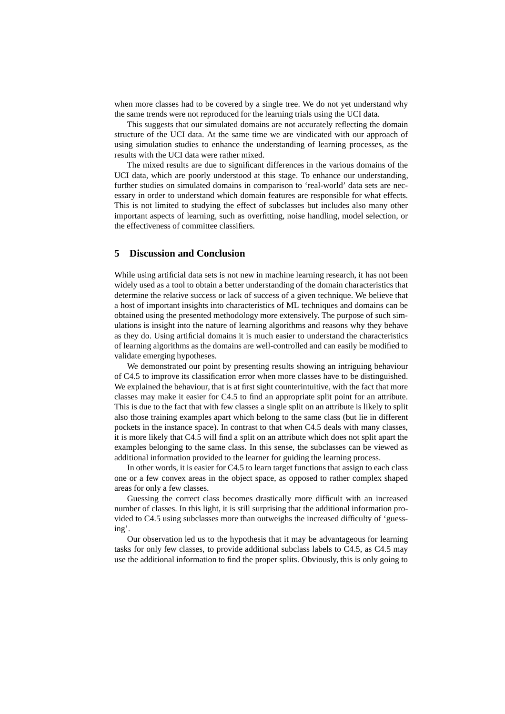when more classes had to be covered by a single tree. We do not yet understand why the same trends were not reproduced for the learning trials using the UCI data.

This suggests that our simulated domains are not accurately reflecting the domain structure of the UCI data. At the same time we are vindicated with our approach of using simulation studies to enhance the understanding of learning processes, as the results with the UCI data were rather mixed.

The mixed results are due to significant differences in the various domains of the UCI data, which are poorly understood at this stage. To enhance our understanding, further studies on simulated domains in comparison to 'real-world' data sets are necessary in order to understand which domain features are responsible for what effects. This is not limited to studying the effect of subclasses but includes also many other important aspects of learning, such as overfitting, noise handling, model selection, or the effectiveness of committee classifiers.

# **5 Discussion and Conclusion**

While using artificial data sets is not new in machine learning research, it has not been widely used as a tool to obtain a better understanding of the domain characteristics that determine the relative success or lack of success of a given technique. We believe that a host of important insights into characteristics of ML techniques and domains can be obtained using the presented methodology more extensively. The purpose of such simulations is insight into the nature of learning algorithms and reasons why they behave as they do. Using artificial domains it is much easier to understand the characteristics of learning algorithms as the domains are well-controlled and can easily be modified to validate emerging hypotheses.

We demonstrated our point by presenting results showing an intriguing behaviour of C4.5 to improve its classification error when more classes have to be distinguished. We explained the behaviour, that is at first sight counterintuitive, with the fact that more classes may make it easier for C4.5 to find an appropriate split point for an attribute. This is due to the fact that with few classes a single split on an attribute is likely to split also those training examples apart which belong to the same class (but lie in different pockets in the instance space). In contrast to that when C4.5 deals with many classes, it is more likely that C4.5 will find a split on an attribute which does not split apart the examples belonging to the same class. In this sense, the subclasses can be viewed as additional information provided to the learner for guiding the learning process.

In other words, it is easier for C4.5 to learn target functions that assign to each class one or a few convex areas in the object space, as opposed to rather complex shaped areas for only a few classes.

Guessing the correct class becomes drastically more difficult with an increased number of classes. In this light, it is still surprising that the additional information provided to C4.5 using subclasses more than outweighs the increased difficulty of 'guessing'.

Our observation led us to the hypothesis that it may be advantageous for learning tasks for only few classes, to provide additional subclass labels to C4.5, as C4.5 may use the additional information to find the proper splits. Obviously, this is only going to